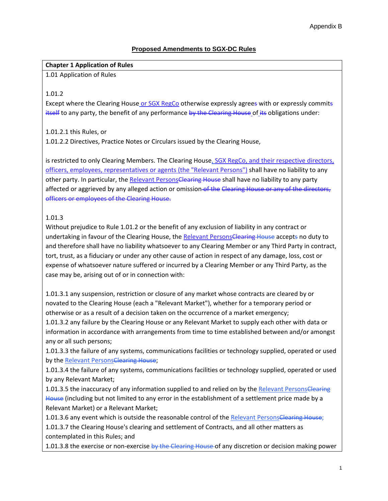# **Proposed Amendments to SGX-DC Rules**

## **Chapter 1 Application of Rules**

1.01 Application of Rules

# 1.01.2

Except where the Clearing House or SGX RegCo otherwise expressly agrees with or expressly commits itself to any party, the benefit of any performance by the Clearing House of its obligations under:

# 1.01.2.1 this Rules, or

1.01.2.2 Directives, Practice Notes or Circulars issued by the Clearing House,

is restricted to only Clearing Members. The Clearing House, SGX RegCo, and their respective directors, officers, employees, representatives or agents (the "Relevant Persons") shall have no liability to any other party. In particular, the Relevant PersonsClearing House shall have no liability to any party affected or aggrieved by any alleged action or omission of the Clearing House or any of the directors, officers or employees of the Clearing House.

# 1.01.3

Without prejudice to Rule 1.01.2 or the benefit of any exclusion of liability in any contract or undertaking in favour of the Clearing House, the Relevant PersonsClearing House accepts no duty to and therefore shall have no liability whatsoever to any Clearing Member or any Third Party in contract, tort, trust, as a fiduciary or under any other cause of action in respect of any damage, loss, cost or expense of whatsoever nature suffered or incurred by a Clearing Member or any Third Party, as the case may be, arising out of or in connection with:

1.01.3.1 any suspension, restriction or closure of any market whose contracts are cleared by or novated to the Clearing House (each a "Relevant Market"), whether for a temporary period or otherwise or as a result of a decision taken on the occurrence of a market emergency;

1.01.3.2 any failure by the Clearing House or any Relevant Market to supply each other with data or information in accordance with arrangements from time to time established between and/or amongst any or all such persons;

1.01.3.3 the failure of any systems, communications facilities or technology supplied, operated or used by the Relevant PersonsClearing House;

1.01.3.4 the failure of any systems, communications facilities or technology supplied, operated or used by any Relevant Market;

1.01.3.5 the inaccuracy of any information supplied to and relied on by the Relevant PersonsClearing House (including but not limited to any error in the establishment of a settlement price made by a Relevant Market) or a Relevant Market;

1.01.3.6 any event which is outside the reasonable control of the Relevant PersonsClearing House; 1.01.3.7 the Clearing House's clearing and settlement of Contracts, and all other matters as contemplated in this Rules; and

1.01.3.8 the exercise or non-exercise by the Clearing House of any discretion or decision making power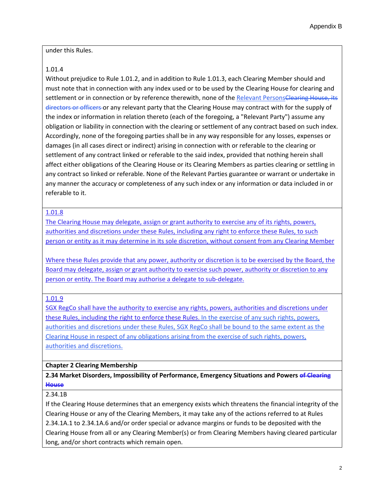#### under this Rules.

# 1.01.4

Without prejudice to Rule 1.01.2, and in addition to Rule 1.01.3, each Clearing Member should and must note that in connection with any index used or to be used by the Clearing House for clearing and settlement or in connection or by reference therewith, none of the Relevant PersonsClearing House, its directors or officers or any relevant party that the Clearing House may contract with for the supply of the index or information in relation thereto (each of the foregoing, a "Relevant Party") assume any obligation or liability in connection with the clearing or settlement of any contract based on such index. Accordingly, none of the foregoing parties shall be in any way responsible for any losses, expenses or damages (in all cases direct or indirect) arising in connection with or referable to the clearing or settlement of any contract linked or referable to the said index, provided that nothing herein shall affect either obligations of the Clearing House or its Clearing Members as parties clearing or settling in any contract so linked or referable. None of the Relevant Parties guarantee or warrant or undertake in any manner the accuracy or completeness of any such index or any information or data included in or referable to it.

# 1.01.8

The Clearing House may delegate, assign or grant authority to exercise any of its rights, powers, authorities and discretions under these Rules, including any right to enforce these Rules, to such person or entity as it may determine in its sole discretion, without consent from any Clearing Member

Where these Rules provide that any power, authority or discretion is to be exercised by the Board, the Board may delegate, assign or grant authority to exercise such power, authority or discretion to any person or entity. The Board may authorise a delegate to sub-delegate.

## 1.01.9

SGX RegCo shall have the authority to exercise any rights, powers, authorities and discretions under these Rules, including the right to enforce these Rules. In the exercise of any such rights, powers, authorities and discretions under these Rules, SGX RegCo shall be bound to the same extent as the Clearing House in respect of any obligations arising from the exercise of such rights, powers, authorities and discretions.

## **Chapter 2 Clearing Membership**

**2.34 Market Disorders, Impossibility of Performance, Emergency Situations and Powers of Clearing House**

## 2.34.1B

If the Clearing House determines that an emergency exists which threatens the financial integrity of the Clearing House or any of the Clearing Members, it may take any of the actions referred to at Rules [2.34.1A.1](http://rulebook.sgx.com/en/display/display.html?rbid=3271&element_id=2120) to [2.34.1A.6](http://rulebook.sgx.com/en/display/display.html?rbid=3271&element_id=2120) and/or order special or advance margins or funds to be deposited with the Clearing House from all or any Clearing Member(s) or from Clearing Members having cleared particular long, and/or short contracts which remain open.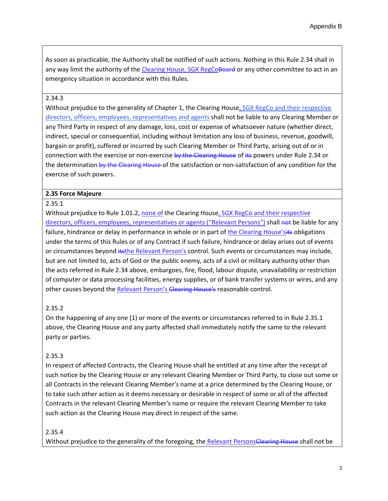As soon as practicable, the Authority shall be notified of such actions. Nothing in this [Rule 2.34](http://rulebook.sgx.com/en/display/display.html?rbid=3271&element_id=2118) shall in any way limit the authority of the Clearing House, SGX RegCoBoard or any other committee to act in an emergency situation in accordance with this Rules.

## 2.34.3

Without prejudice to the generality of [Chapter 1,](http://rulebook.sgx.com/en/display/display.html?rbid=3271&element_id=1904) the Clearing House, SGX RegCo and their respective directors, officers, employees, representatives and agents shall not be liable to any Clearing Member or any Third Party in respect of any damage, loss, cost or expense of whatsoever nature (whether direct, indirect, special or consequential, including without limitation any loss of business, revenue, goodwill, bargain or profit), suffered or incurred by such Clearing Member or Third Party, arising out of or in connection with the exercise or non-exercise by the Clearing House of its powers unde[r Rule 2.34](http://rulebook.sgx.com/en/display/display.html?rbid=3271&element_id=2118) or the determination by the Clearing House of the satisfaction or non-satisfaction of any condition for the exercise of such powers.

#### **2.35 Force Majeure**

#### 2.35.1

Without prejudice to [Rule 1.01.2,](http://rulebook.sgx.com/en/display/display.html?rbid=3271&element_id=1907) none of the Clearing House, SGX RegCo and their respective directors, officers, employees, representatives or agents ("Relevant Persons") shall not be liable for any failure, hindrance or delay in performance in whole or in part of the Clearing House'sits obligations under the terms of this Rules or of any Contract if such failure, hindrance or delay arises out of events or circumstances beyond itsthe Relevant Person's control. Such events or circumstances may include, but are not limited to, acts of God or the public enemy, acts of a civil or military authority other than the acts referred in [Rule 2.34](http://rulebook.sgx.com/en/display/display.html?rbid=3271&element_id=2118) above, embargoes, fire, flood, labour dispute, unavailability or restriction of computer or data processing facilities, energy supplies, or of bank transfer systems or wires, and any other causes beyond the Relevant Person's Clearing House's reasonable control.

## 2.35.2

On the happening of any one (1) or more of the events or circumstances referred to i[n Rule 2.35.1](http://rulebook.sgx.com/en/display/display.html?rbid=3271&element_id=2124) above, the Clearing House and any party affected shall immediately notify the same to the relevant party or parties.

## 2.35.3

In respect of affected Contracts, the Clearing House shall be entitled at any time after the receipt of such notice by the Clearing House or any relevant Clearing Member or Third Party, to close out some or all Contracts in the relevant Clearing Member's name at a price determined by the Clearing House, or to take such other action as it deems necessary or desirable in respect of some or all of the affected Contracts in the relevant Clearing Member's name or require the relevant Clearing Member to take such action as the Clearing House may direct in respect of the same.

#### 2.35.4

Without prejudice to the generality of the foregoing, the Relevant PersonsClearing House shall not be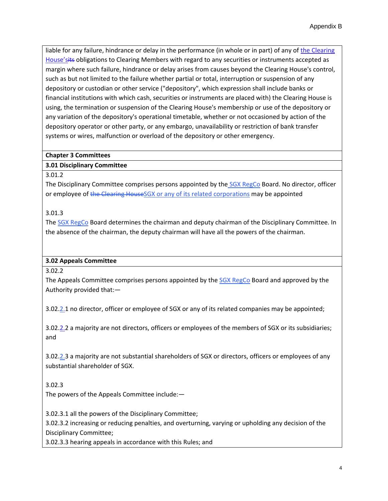liable for any failure, hindrance or delay in the performance (in whole or in part) of any of the Clearing House'sits obligations to Clearing Members with regard to any securities or instruments accepted as margin where such failure, hindrance or delay arises from causes beyond the Clearing House's control, such as but not limited to the failure whether partial or total, interruption or suspension of any depository or custodian or other service ("depository", which expression shall include banks or financial institutions with which cash, securities or instruments are placed with) the Clearing House is using, the termination or suspension of the Clearing House's membership or use of the depository or any variation of the depository's operational timetable, whether or not occasioned by action of the depository operator or other party, or any embargo, unavailability or restriction of bank transfer systems or wires, malfunction or overload of the depository or other emergency.

## **Chapter 3 Committees**

# **3.01 Disciplinary Committee**

#### 3.01.2

The Disciplinary Committee comprises persons appointed by the *SGX RegCo* Board. No director, officer or employee of the Clearing HouseSGX or any of its related corporations may be appointed

# 3.01.3

The SGX RegCo Board determines the chairman and deputy chairman of the Disciplinary Committee. In the absence of the chairman, the deputy chairman will have all the powers of the chairman.

## **3.02 Appeals Committee**

3.02.2

The Appeals Committee comprises persons appointed by the SGX RegCo Board and approved by the Authority provided that:—

3.02.2.1 no director, officer or employee of SGX or any of its related companies may be appointed;

3.02.2.2 a majority are not directors, officers or employees of the members of SGX or its subsidiaries; and

3.02.2.3 a majority are not substantial shareholders of SGX or directors, officers or employees of any substantial shareholder of SGX.

# 3.02.3

The powers of the Appeals Committee include:—

3.02.3.1 all the powers of the Disciplinary Committee; 3.02.3.2 increasing or reducing penalties, and overturning, varying or upholding any decision of the Disciplinary Committee;

3.02.3.3 hearing appeals in accordance with this Rules; and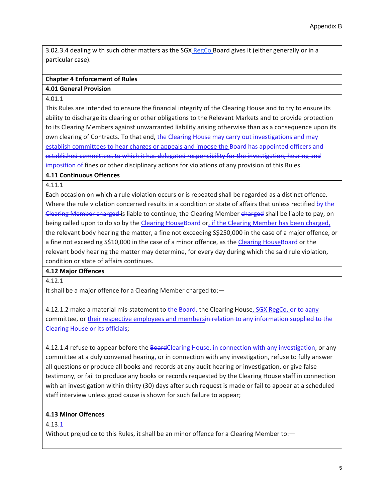3.02.3.4 dealing with such other matters as the SGX RegCo Board gives it (either generally or in a particular case).

# **Chapter 4 Enforcement of Rules**

#### **4.01 General Provision**

#### 4.01.1

This Rules are intended to ensure the financial integrity of the Clearing House and to try to ensure its ability to discharge its clearing or other obligations to the Relevant Markets and to provide protection to its Clearing Members against unwarranted liability arising otherwise than as a consequence upon its own clearing of Contracts. To that end, the Clearing House may carry out investigations and may establish committees to hear charges or appeals and impose the Board has appointed officers and established committees to which it has delegated responsibility for the investigation, hearing and imposition of fines or other disciplinary actions for violations of any provision of this Rules.

#### **4.11 Continuous Offences**

## 4.11.1

Each occasion on which a rule violation occurs or is repeated shall be regarded as a distinct offence. Where the rule violation concerned results in a condition or state of affairs that unless rectified by the Clearing Member charged is liable to continue, the Clearing Member charged shall be liable to pay, on being called upon to do so by the Clearing House Board or, if the Clearing Member has been charged, the relevant body hearing the matter, a fine not exceeding S\$250,000 in the case of a major offence, or a fine not exceeding S\$10,000 in the case of a minor offence, as the Clearing HouseBoard or the relevant body hearing the matter may determine, for every day during which the said rule violation, condition or state of affairs continues.

## **4.12 Major Offences**

4.12.1

It shall be a major offence for a Clearing Member charged to:—

4.12.1.2 make a material mis-statement to the Board, the Clearing House, SGX RegCo, or to aany committee, or their respective employees and membersin relation to any information supplied to the Clearing House or its officials;

4.12.1.4 refuse to appear before the BoardClearing House, in connection with any investigation, or any committee at a duly convened hearing, or in connection with any investigation, refuse to fully answer all questions or produce all books and records at any audit hearing or investigation, or give false testimony, or fail to produce any books or records requested by the Clearing House staff in connection with an investigation within thirty (30) days after such request is made or fail to appear at a scheduled staff interview unless good cause is shown for such failure to appear;

## **4.13 Minor Offences**

 $4.13 - 1$ 

Without prejudice to this Rules, it shall be an minor offence for a Clearing Member to: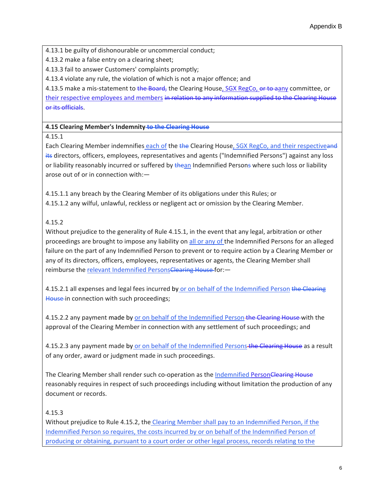4.13.1 be guilty of dishonourable or uncommercial conduct;

4.13.2 make a false entry on a clearing sheet;

4.13.3 fail to answer Customers' complaints promptly;

4.13.4 violate any rule, the violation of which is not a major offence; and

4.13.5 make a mis-statement to the Board, the Clearing House, SGX RegCo, or to aany committee, or their respective employees and members in relation to any information supplied to the Clearing House or its officials.

**4.15 Clearing Member's Indemnity to the Clearing House**

4.15.1

Each Clearing Member indemnifies each of the the Clearing House, SGX RegCo, and their respectiveand its directors, officers, employees, representatives and agents ("Indemnified Persons") against any loss or liability reasonably incurred or suffered by the an Indemnified Persons where such loss or liability arose out of or in connection with:—

4.15.1.1 any breach by the Clearing Member of its obligations under this Rules; or 4.15.1.2 any wilful, unlawful, reckless or negligent act or omission by the Clearing Member.

4.15.2

Without prejudice to the generality of Rule 4.15.1, in the event that any legal, arbitration or other proceedings are brought to impose any liability on all or any of the Indemnified Persons for an alleged failure on the part of any Indemnified Person to prevent or to require action by a Clearing Member or any of its directors, officers, employees, representatives or agents, the Clearing Member shall reimburse the relevant Indemnified PersonsClearing House for:-

4.15.2.1 all expenses and legal fees incurred by or on behalf of the Indemnified Person the Clearing House in connection with such proceedings;

4.15.2.2 any payment made by or on behalf of the Indemnified Person-the Clearing House-with the approval of the Clearing Member in connection with any settlement of such proceedings; and

4.15.2.3 any payment made by or on behalf of the Indemnified Persons the Clearing House as a result of any order, award or judgment made in such proceedings.

The Clearing Member shall render such co-operation as the Indemnified PersonClearing House reasonably requires in respect of such proceedings including without limitation the production of any document or records.

4.15.3

Without prejudice to Rule 4.15.2, the Clearing Member shall pay to an Indemnified Person, if the Indemnified Person so requires, the costs incurred by or on behalf of the Indemnified Person of producing or obtaining, pursuant to a court order or other legal process, records relating to the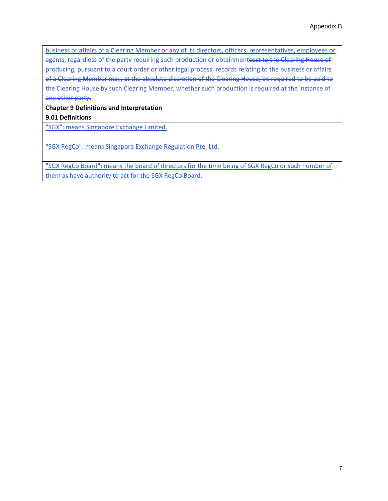business or affairs of a Clearing Member or any of its directors, officers, representatives, employees or agents, regardless of the party requiring such production or obtainmenteost to the Clearing House of producing, pursuant to a court order or other legal process, records relating to the business or affairs of a Clearing Member may, at the absolute discretion of the Clearing House, be required to be paid to the Clearing House by such Clearing Member, whether such production is required at the instance of any other party.

**Chapter 9 Definitions and Interpretation**

**9.01 Definitions**

"SGX": means Singapore Exchange Limited.

"SGX RegCo": means Singapore Exchange Regulation Pte. Ltd.

"SGX RegCo Board": means the board of directors for the time being of SGX RegCo or such number of them as have authority to act for the SGX RegCo Board.